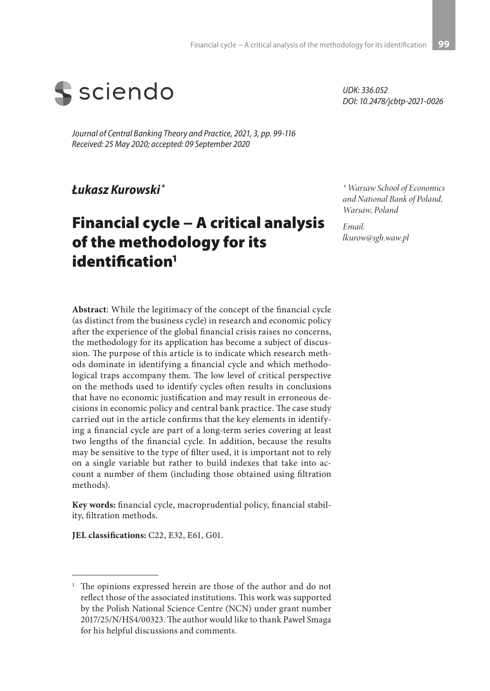

*Journal of Central Banking Theory and Practice, 2021, 3, pp. 99-116 Received: 25 May 2020; accepted: 09 September 2020* 

*Łukasz Kurowski \**

# Financial cycle − A critical analysis of the methodology for its identification<sup>1</sup>

*UDK: 336.052 DOI: 10.2478/jcbtp-2021-0026*

*\* Warsaw School of Economics and National Bank of Poland, Warsaw, Poland*

*Email: lkurow@sgh.waw.pl*

**Abstract**: While the legitimacy of the concept of the financial cycle (as distinct from the business cycle) in research and economic policy after the experience of the global financial crisis raises no concerns, the methodology for its application has become a subject of discussion. The purpose of this article is to indicate which research methods dominate in identifying a financial cycle and which methodological traps accompany them. The low level of critical perspective on the methods used to identify cycles often results in conclusions that have no economic justification and may result in erroneous decisions in economic policy and central bank practice. The case study carried out in the article confirms that the key elements in identifying a financial cycle are part of a long-term series covering at least two lengths of the financial cycle. In addition, because the results may be sensitive to the type of filter used, it is important not to rely on a single variable but rather to build indexes that take into account a number of them (including those obtained using filtration methods).

**Key words:** financial cycle, macroprudential policy, financial stability, filtration methods.

**JEL classifications:** C22, E32, E61, G01.

<sup>&</sup>lt;sup>1</sup> The opinions expressed herein are those of the author and do not reflect those of the associated institutions. This work was supported by the Polish National Science Centre (NCN) under grant number 2017/25/N/HS4/00323. The author would like to thank Paweł Smaga for his helpful discussions and comments.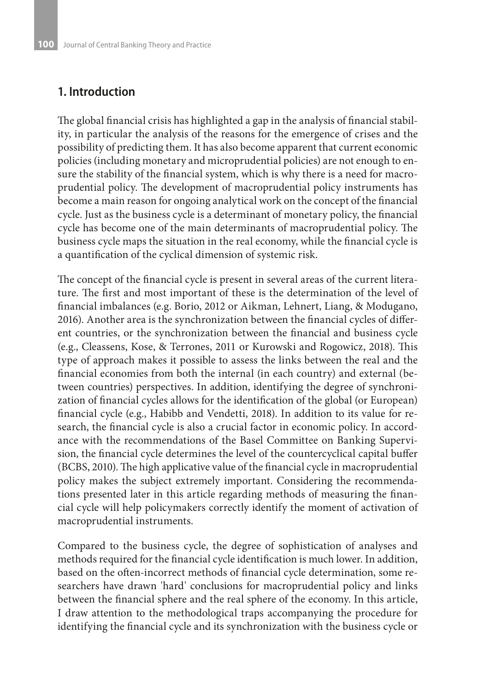### **1. Introduction**

The global financial crisis has highlighted a gap in the analysis of financial stability, in particular the analysis of the reasons for the emergence of crises and the possibility of predicting them. It has also become apparent that current economic policies (including monetary and microprudential policies) are not enough to ensure the stability of the financial system, which is why there is a need for macroprudential policy. The development of macroprudential policy instruments has become a main reason for ongoing analytical work on the concept of the financial cycle. Just as the business cycle is a determinant of monetary policy, the financial cycle has become one of the main determinants of macroprudential policy. The business cycle maps the situation in the real economy, while the financial cycle is a quantification of the cyclical dimension of systemic risk.

The concept of the financial cycle is present in several areas of the current literature. The first and most important of these is the determination of the level of financial imbalances (e.g. Borio, 2012 or Aikman, Lehnert, Liang, & Modugano, 2016). Another area is the synchronization between the financial cycles of different countries, or the synchronization between the financial and business cycle (e.g., Cleassens, Kose, & Terrones, 2011 or Kurowski and Rogowicz, 2018). This type of approach makes it possible to assess the links between the real and the financial economies from both the internal (in each country) and external (between countries) perspectives. In addition, identifying the degree of synchronization of financial cycles allows for the identification of the global (or European) financial cycle (e.g., Habibb and Vendetti, 2018). In addition to its value for research, the financial cycle is also a crucial factor in economic policy. In accordance with the recommendations of the Basel Committee on Banking Supervision, the financial cycle determines the level of the countercyclical capital buffer (BCBS, 2010). The high applicative value of the financial cycle in macroprudential policy makes the subject extremely important. Considering the recommendations presented later in this article regarding methods of measuring the financial cycle will help policymakers correctly identify the moment of activation of macroprudential instruments.

Compared to the business cycle, the degree of sophistication of analyses and methods required for the financial cycle identification is much lower. In addition, based on the often-incorrect methods of financial cycle determination, some researchers have drawn 'hard' conclusions for macroprudential policy and links between the financial sphere and the real sphere of the economy. In this article, I draw attention to the methodological traps accompanying the procedure for identifying the financial cycle and its synchronization with the business cycle or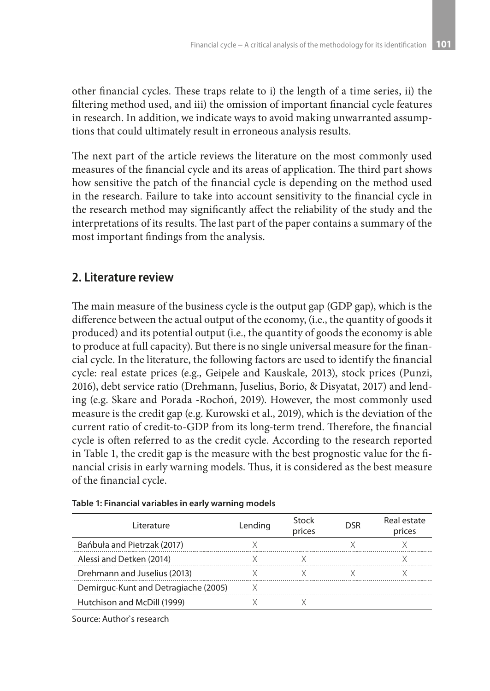other financial cycles. These traps relate to i) the length of a time series, ii) the filtering method used, and iii) the omission of important financial cycle features in research. In addition, we indicate ways to avoid making unwarranted assumptions that could ultimately result in erroneous analysis results.

The next part of the article reviews the literature on the most commonly used measures of the financial cycle and its areas of application. The third part shows how sensitive the patch of the financial cycle is depending on the method used in the research. Failure to take into account sensitivity to the financial cycle in the research method may significantly affect the reliability of the study and the interpretations of its results. The last part of the paper contains a summary of the most important findings from the analysis.

## **2. Literature review**

The main measure of the business cycle is the output gap (GDP gap), which is the difference between the actual output of the economy, (i.e., the quantity of goods it produced) and its potential output (i.e., the quantity of goods the economy is able to produce at full capacity). But there is no single universal measure for the financial cycle. In the literature, the following factors are used to identify the financial cycle: real estate prices (e.g., Geipele and Kauskale, 2013), stock prices (Punzi, 2016), debt service ratio (Drehmann, Juselius, Borio, & Disyatat, 2017) and lending (e.g. Skare and Porada -Rochoń, 2019). However, the most commonly used measure is the credit gap (e.g. Kurowski et al., 2019), which is the deviation of the current ratio of credit-to-GDP from its long-term trend. Therefore, the financial cycle is often referred to as the credit cycle. According to the research reported in Table 1, the credit gap is the measure with the best prognostic value for the financial crisis in early warning models. Thus, it is considered as the best measure of the financial cycle.

| Literature                           | Lending | Stock<br>prices | <b>DSR</b> | Real estate<br>prices |
|--------------------------------------|---------|-----------------|------------|-----------------------|
| Bańbuła and Pietrzak (2017)          |         |                 |            |                       |
| Alessi and Detken (2014)             |         |                 |            |                       |
| Drehmann and Juselius (2013)         |         |                 |            |                       |
| Demirguc-Kunt and Detragiache (2005) |         |                 |            |                       |
| Hutchison and McDill (1999)          |         |                 |            |                       |

| Table 1: Financial variables in early warning models |
|------------------------------------------------------|
|------------------------------------------------------|

Source: Author`s research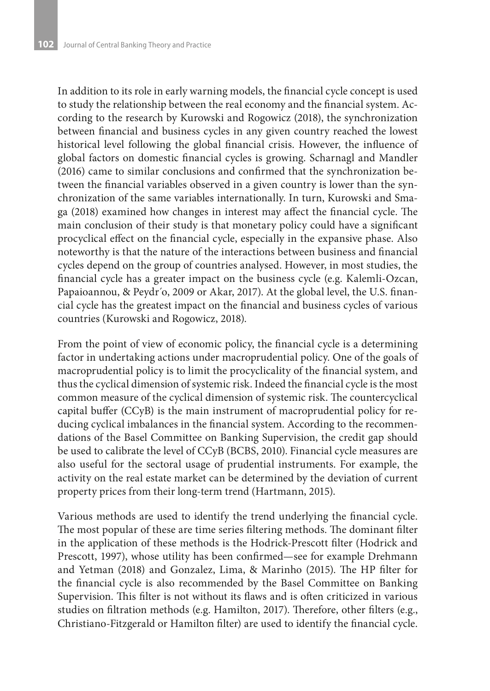In addition to its role in early warning models, the financial cycle concept is used to study the relationship between the real economy and the financial system. According to the research by Kurowski and Rogowicz (2018), the synchronization between financial and business cycles in any given country reached the lowest historical level following the global financial crisis. However, the influence of global factors on domestic financial cycles is growing. Scharnagl and Mandler (2016) came to similar conclusions and confirmed that the synchronization between the financial variables observed in a given country is lower than the synchronization of the same variables internationally. In turn, Kurowski and Smaga (2018) examined how changes in interest may affect the financial cycle. The main conclusion of their study is that monetary policy could have a significant procyclical effect on the financial cycle, especially in the expansive phase. Also noteworthy is that the nature of the interactions between business and financial cycles depend on the group of countries analysed. However, in most studies, the financial cycle has a greater impact on the business cycle (e.g. Kalemli-Ozcan, Papaioannou, & Peydr´o, 2009 or Akar, 2017). At the global level, the U.S. financial cycle has the greatest impact on the financial and business cycles of various countries (Kurowski and Rogowicz, 2018).

From the point of view of economic policy, the financial cycle is a determining factor in undertaking actions under macroprudential policy. One of the goals of macroprudential policy is to limit the procyclicality of the financial system, and thus the cyclical dimension of systemic risk. Indeed the financial cycle is the most common measure of the cyclical dimension of systemic risk. The countercyclical capital buffer (CCyB) is the main instrument of macroprudential policy for reducing cyclical imbalances in the financial system. According to the recommendations of the Basel Committee on Banking Supervision, the credit gap should be used to calibrate the level of CCyB (BCBS, 2010). Financial cycle measures are also useful for the sectoral usage of prudential instruments. For example, the activity on the real estate market can be determined by the deviation of current property prices from their long-term trend (Hartmann, 2015).

Various methods are used to identify the trend underlying the financial cycle. The most popular of these are time series filtering methods. The dominant filter in the application of these methods is the Hodrick-Prescott filter (Hodrick and Prescott, 1997), whose utility has been confirmed—see for example Drehmann and Yetman (2018) and Gonzalez, Lima, & Marinho (2015). The HP filter for the financial cycle is also recommended by the Basel Committee on Banking Supervision. This filter is not without its flaws and is often criticized in various studies on filtration methods (e.g. Hamilton, 2017). Therefore, other filters (e.g., Christiano-Fitzgerald or Hamilton filter) are used to identify the financial cycle.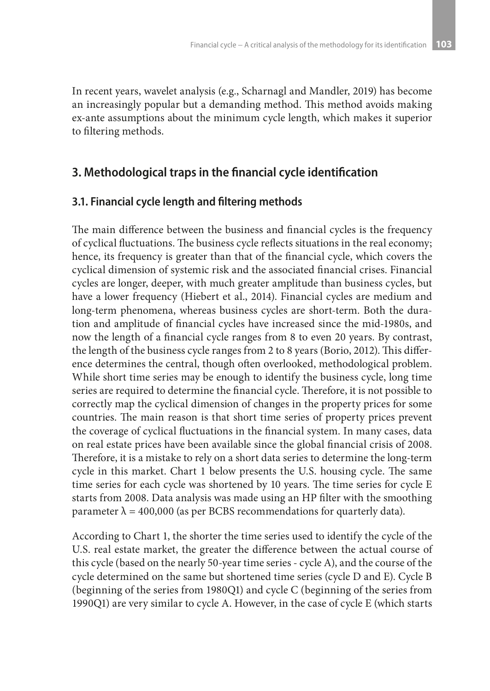In recent years, wavelet analysis (e.g., Scharnagl and Mandler, 2019) has become an increasingly popular but a demanding method. This method avoids making ex-ante assumptions about the minimum cycle length, which makes it superior to filtering methods.

### **3. Methodological traps in the financial cycle identification**

### **3.1. Financial cycle length and filtering methods**

The main difference between the business and financial cycles is the frequency of cyclical fluctuations. The business cycle reflects situations in the real economy; hence, its frequency is greater than that of the financial cycle, which covers the cyclical dimension of systemic risk and the associated financial crises. Financial cycles are longer, deeper, with much greater amplitude than business cycles, but have a lower frequency (Hiebert et al., 2014). Financial cycles are medium and long-term phenomena, whereas business cycles are short-term. Both the duration and amplitude of financial cycles have increased since the mid-1980s, and now the length of a financial cycle ranges from 8 to even 20 years. By contrast, the length of the business cycle ranges from 2 to 8 years (Borio, 2012). This difference determines the central, though often overlooked, methodological problem. While short time series may be enough to identify the business cycle, long time series are required to determine the financial cycle. Therefore, it is not possible to correctly map the cyclical dimension of changes in the property prices for some countries. The main reason is that short time series of property prices prevent the coverage of cyclical fluctuations in the financial system. In many cases, data on real estate prices have been available since the global financial crisis of 2008. Therefore, it is a mistake to rely on a short data series to determine the long-term cycle in this market. Chart 1 below presents the U.S. housing cycle. The same time series for each cycle was shortened by 10 years. The time series for cycle E starts from 2008. Data analysis was made using an HP filter with the smoothing parameter  $\lambda$  = 400,000 (as per BCBS recommendations for quarterly data).

According to Chart 1, the shorter the time series used to identify the cycle of the U.S. real estate market, the greater the difference between the actual course of this cycle (based on the nearly 50-year time series - cycle A), and the course of the cycle determined on the same but shortened time series (cycle D and E). Cycle B (beginning of the series from 1980Q1) and cycle C (beginning of the series from 1990Q1) are very similar to cycle A. However, in the case of cycle E (which starts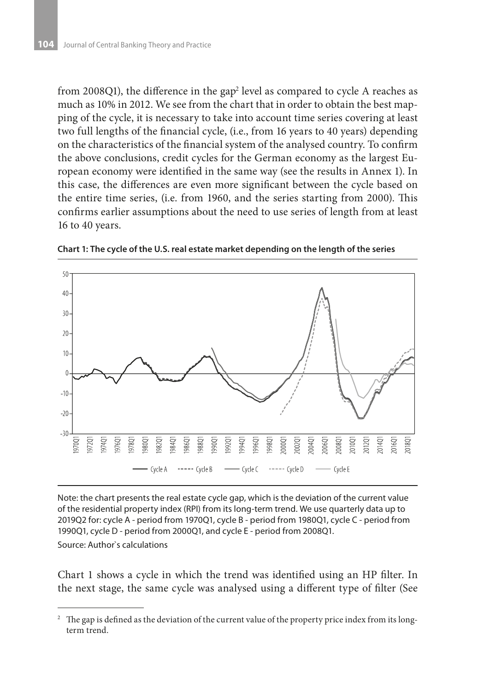from 2008Q1), the difference in the gap $^2$  level as compared to cycle A reaches as much as 10% in 2012. We see from the chart that in order to obtain the best mapping of the cycle, it is necessary to take into account time series covering at least two full lengths of the financial cycle, (i.e., from 16 years to 40 years) depending on the characteristics of the financial system of the analysed country. To confirm the above conclusions, credit cycles for the German economy as the largest European economy were identified in the same way (see the results in Annex 1). In this case, the differences are even more significant between the cycle based on the entire time series, (i.e. from 1960, and the series starting from 2000). This confirms earlier assumptions about the need to use series of length from at least 16 to 40 years.



**Chart 1: The cycle of the U.S. real estate market depending on the length of the series**

Note: the chart presents the real estate cycle gap, which is the deviation of the current value of the residential property index (RPI) from its long-term trend. We use quarterly data up to 2019Q2 for: cycle A - period from 1970Q1, cycle B - period from 1980Q1, cycle C - period from 1990Q1, cycle D - period from 2000Q1, and cycle E - period from 2008Q1.

Source: Author`s calculations

Chart 1 shows a cycle in which the trend was identified using an HP filter. In the next stage, the same cycle was analysed using a different type of filter (See

<sup>&</sup>lt;sup>2</sup> The gap is defined as the deviation of the current value of the property price index from its longterm trend.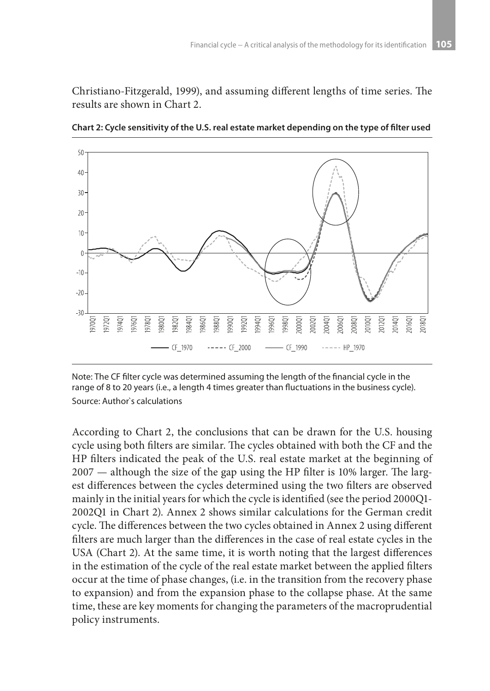Christiano-Fitzgerald, 1999), and assuming different lengths of time series. The results are shown in Chart 2.



**Chart 2: Cycle sensitivity of the U.S. real estate market depending on the type of filter used**

According to Chart 2, the conclusions that can be drawn for the U.S. housing cycle using both filters are similar. The cycles obtained with both the CF and the HP filters indicated the peak of the U.S. real estate market at the beginning of 2007 — although the size of the gap using the HP filter is 10% larger. The largest differences between the cycles determined using the two filters are observed mainly in the initial years for which the cycle is identified (see the period 2000Q1- 2002Q1 in Chart 2). Annex 2 shows similar calculations for the German credit cycle. The differences between the two cycles obtained in Annex 2 using different filters are much larger than the differences in the case of real estate cycles in the USA (Chart 2). At the same time, it is worth noting that the largest differences in the estimation of the cycle of the real estate market between the applied filters occur at the time of phase changes, (i.e. in the transition from the recovery phase to expansion) and from the expansion phase to the collapse phase. At the same time, these are key moments for changing the parameters of the macroprudential policy instruments.

Note: The CF filter cycle was determined assuming the length of the financial cycle in the range of 8 to 20 years (i.e., a length 4 times greater than fluctuations in the business cycle). Source: Author`s calculations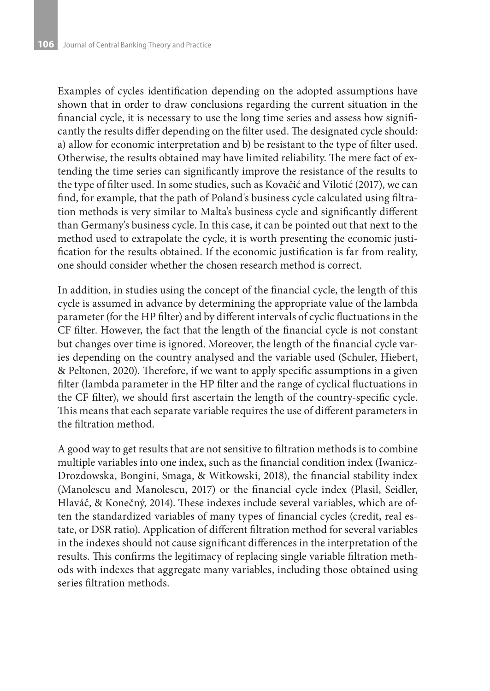Examples of cycles identification depending on the adopted assumptions have shown that in order to draw conclusions regarding the current situation in the financial cycle, it is necessary to use the long time series and assess how significantly the results differ depending on the filter used. The designated cycle should: a) allow for economic interpretation and b) be resistant to the type of filter used. Otherwise, the results obtained may have limited reliability. The mere fact of extending the time series can significantly improve the resistance of the results to the type of filter used. In some studies, such as Kovačić and Vilotić (2017), we can find, for example, that the path of Poland's business cycle calculated using filtration methods is very similar to Malta's business cycle and significantly different than Germany's business cycle. In this case, it can be pointed out that next to the method used to extrapolate the cycle, it is worth presenting the economic justification for the results obtained. If the economic justification is far from reality, one should consider whether the chosen research method is correct.

In addition, in studies using the concept of the financial cycle, the length of this cycle is assumed in advance by determining the appropriate value of the lambda parameter (for the HP filter) and by different intervals of cyclic fluctuations in the CF filter. However, the fact that the length of the financial cycle is not constant but changes over time is ignored. Moreover, the length of the financial cycle varies depending on the country analysed and the variable used (Schuler, Hiebert, & Peltonen, 2020). Therefore, if we want to apply specific assumptions in a given filter (lambda parameter in the HP filter and the range of cyclical fluctuations in the CF filter), we should first ascertain the length of the country-specific cycle. This means that each separate variable requires the use of different parameters in the filtration method.

A good way to get results that are not sensitive to filtration methods is to combine multiple variables into one index, such as the financial condition index (Iwanicz-Drozdowska, Bongini, Smaga, & Witkowski, 2018), the financial stability index (Manolescu and Manolescu, 2017) or the financial cycle index (Plasil, Seidler, Hlaváč, & Konečný, 2014). These indexes include several variables, which are often the standardized variables of many types of financial cycles (credit, real estate, or DSR ratio). Application of different filtration method for several variables in the indexes should not cause significant differences in the interpretation of the results. This confirms the legitimacy of replacing single variable filtration methods with indexes that aggregate many variables, including those obtained using series filtration methods.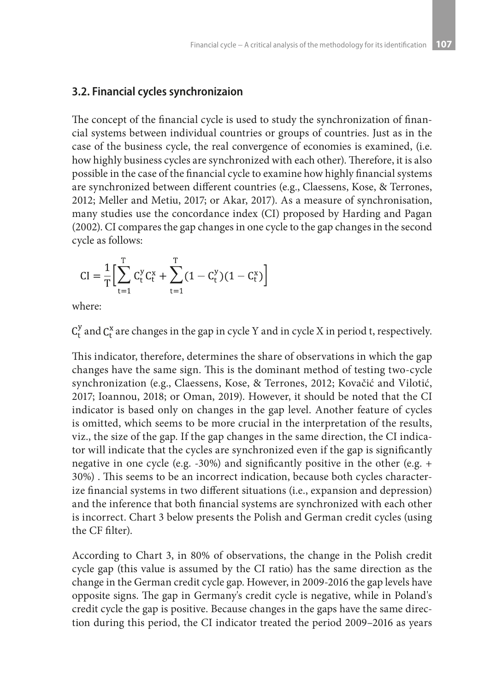#### **3.2. Financial cycles synchronizaion**

The concept of the financial cycle is used to study the synchronization of financial systems between individual countries or groups of countries. Just as in the case of the business cycle, the real convergence of economies is examined, (i.e. how highly business cycles are synchronized with each other). Therefore, it is also possible in the case of the financial cycle to examine how highly financial systems are synchronized between different countries (e.g., Claessens, Kose, & Terrones, 2012; Meller and Metiu, 2017; or Akar, 2017). As a measure of synchronisation, many studies use the concordance index (CI) proposed by Harding and Pagan (2002). CI compares the gap changes in one cycle to the gap changes in the second cycle as follows:

$$
CI = \frac{1}{T} \Big[ \sum_{t=1}^{T} C_t^{y} C_t^{x} + \sum_{t=1}^{T} (1 - C_t^{y}) (1 - C_t^{x}) \Big]
$$

where:

 $C_r^y$  and  $C_r^x$  are changes in the gap in cycle Y and in cycle X in period t, respectively.

This indicator, therefore, determines the share of observations in which the gap changes have the same sign. This is the dominant method of testing two-cycle synchronization (e.g., Claessens, Kose, & Terrones, 2012; Kovačić and Vilotić, 2017; Ioannou, 2018; or Oman, 2019). However, it should be noted that the CI indicator is based only on changes in the gap level. Another feature of cycles is omitted, which seems to be more crucial in the interpretation of the results, viz., the size of the gap. If the gap changes in the same direction, the CI indicator will indicate that the cycles are synchronized even if the gap is significantly negative in one cycle (e.g. -30%) and significantly positive in the other (e.g. + 30%) . This seems to be an incorrect indication, because both cycles characterize financial systems in two different situations (i.e., expansion and depression) and the inference that both financial systems are synchronized with each other is incorrect. Chart 3 below presents the Polish and German credit cycles (using the CF filter).

According to Chart 3, in 80% of observations, the change in the Polish credit cycle gap (this value is assumed by the CI ratio) has the same direction as the change in the German credit cycle gap. However, in 2009-2016 the gap levels have opposite signs. The gap in Germany's credit cycle is negative, while in Poland's credit cycle the gap is positive. Because changes in the gaps have the same direction during this period, the CI indicator treated the period 2009–2016 as years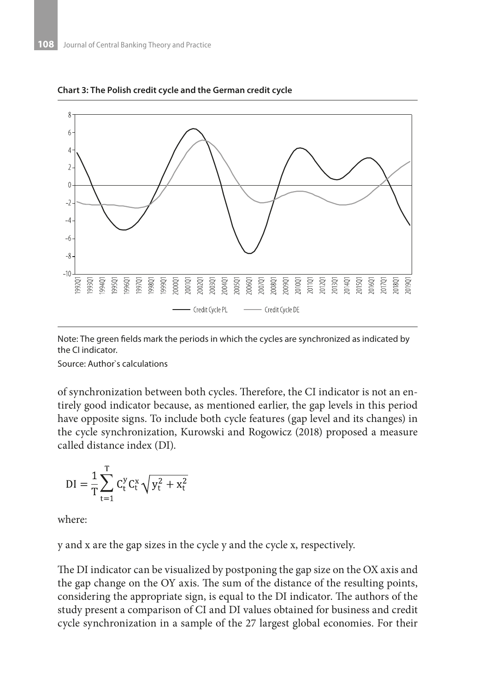

#### **Chart 3: The Polish credit cycle and the German credit cycle**

Note: The green fields mark the periods in which the cycles are synchronized as indicated by the CI indicator.

Source: Author`s calculations

of synchronization between both cycles. Therefore, the CI indicator is not an entirely good indicator because, as mentioned earlier, the gap levels in this period have opposite signs. To include both cycle features (gap level and its changes) in the cycle synchronization, Kurowski and Rogowicz (2018) proposed a measure called distance index (DI).

$$
DI = \frac{1}{T} \sum_{t=1}^{T} C_t^y C_t^x \sqrt{y_t^2 + x_t^2}
$$

where:

y and x are the gap sizes in the cycle y and the cycle x, respectively.

The DI indicator can be visualized by postponing the gap size on the OX axis and the gap change on the OY axis. The sum of the distance of the resulting points, considering the appropriate sign, is equal to the DI indicator. The authors of the study present a comparison of CI and DI values obtained for business and credit cycle synchronization in a sample of the 27 largest global economies. For their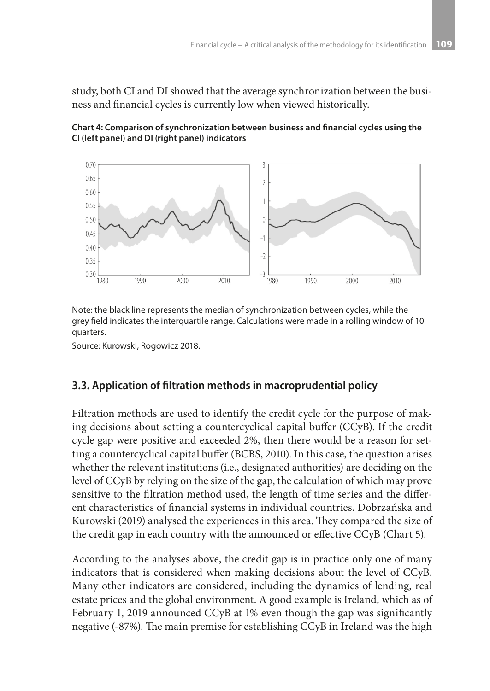study, both CI and DI showed that the average synchronization between the business and financial cycles is currently low when viewed historically.





Note: the black line represents the median of synchronization between cycles, while the grey field indicates the interquartile range. Calculations were made in a rolling window of 10 quarters.

Source: Kurowski, Rogowicz 2018.

### **3.3. Application of filtration methods in macroprudential policy**

Filtration methods are used to identify the credit cycle for the purpose of making decisions about setting a countercyclical capital buffer (CCyB). If the credit cycle gap were positive and exceeded 2%, then there would be a reason for setting a countercyclical capital buffer (BCBS, 2010). In this case, the question arises whether the relevant institutions (i.e., designated authorities) are deciding on the level of CCyB by relying on the size of the gap, the calculation of which may prove sensitive to the filtration method used, the length of time series and the different characteristics of financial systems in individual countries. Dobrzańska and Kurowski (2019) analysed the experiences in this area. They compared the size of the credit gap in each country with the announced or effective CCyB (Chart 5).

According to the analyses above, the credit gap is in practice only one of many indicators that is considered when making decisions about the level of CCyB. Many other indicators are considered, including the dynamics of lending, real estate prices and the global environment. A good example is Ireland, which as of February 1, 2019 announced CCyB at 1% even though the gap was significantly negative (-87%). The main premise for establishing CCyB in Ireland was the high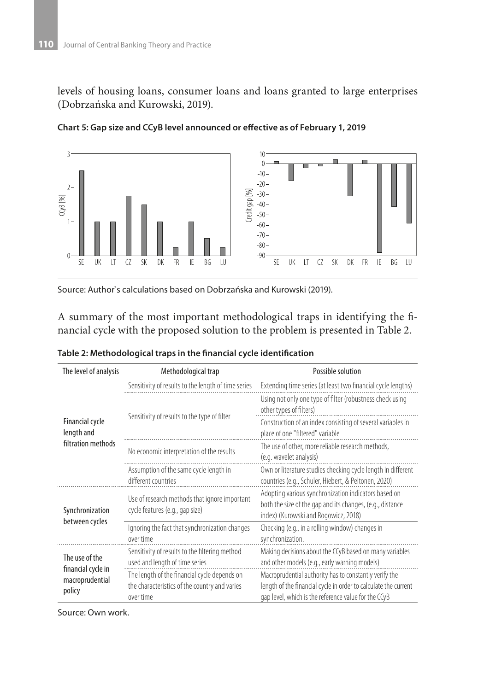levels of housing loans, consumer loans and loans granted to large enterprises (Dobrzańska and Kurowski, 2019).



**Chart 5: Gap size and CCyB level announced or effective as of February 1, 2019**

Source: Author`s calculations based on Dobrzańska and Kurowski (2019).

A summary of the most important methodological traps in identifying the financial cycle with the proposed solution to the problem is presented in Table 2.

| The level of analysis                                             | Methodological trap                                                                                        | Possible solution                                                                                                                                                                 |  |
|-------------------------------------------------------------------|------------------------------------------------------------------------------------------------------------|-----------------------------------------------------------------------------------------------------------------------------------------------------------------------------------|--|
|                                                                   | Sensitivity of results to the length of time series                                                        | Extending time series (at least two financial cycle lengths)                                                                                                                      |  |
| <b>Financial cycle</b><br>length and<br>filtration methods        | Sensitivity of results to the type of filter                                                               | Using not only one type of filter (robustness check using<br>other types of filters)                                                                                              |  |
|                                                                   |                                                                                                            | Construction of an index consisting of several variables in<br>place of one "filtered" variable                                                                                   |  |
|                                                                   | No economic interpretation of the results                                                                  | The use of other, more reliable research methods,<br>(e.g. wavelet analysis)                                                                                                      |  |
|                                                                   | Assumption of the same cycle length in<br>different countries                                              | Own or literature studies checking cycle length in different<br>countries (e.g., Schuler, Hiebert, & Peltonen, 2020)                                                              |  |
| Synchronization<br>between cycles                                 | Use of research methods that ignore important<br>cycle features (e.g., gap size)                           | Adopting various synchronization indicators based on<br>both the size of the gap and its changes, (e.g., distance<br>index) (Kurowski and Rogowicz, 2018)                         |  |
|                                                                   | Ignoring the fact that synchronization changes<br>over time                                                | Checking (e.g., in a rolling window) changes in<br>synchronization.                                                                                                               |  |
| The use of the<br>financial cycle in<br>macroprudential<br>policy | Sensitivity of results to the filtering method<br>used and length of time series                           | Making decisions about the CCyB based on many variables<br>and other models (e.g., early warning models)                                                                          |  |
|                                                                   | The length of the financial cycle depends on<br>the characteristics of the country and varies<br>over time | Macroprudential authority has to constantly verify the<br>length of the financial cycle in order to calculate the current<br>gap level, which is the reference value for the CCyB |  |

| Table 2: Methodological traps in the financial cycle identification |  |
|---------------------------------------------------------------------|--|
|                                                                     |  |

Source: Own work.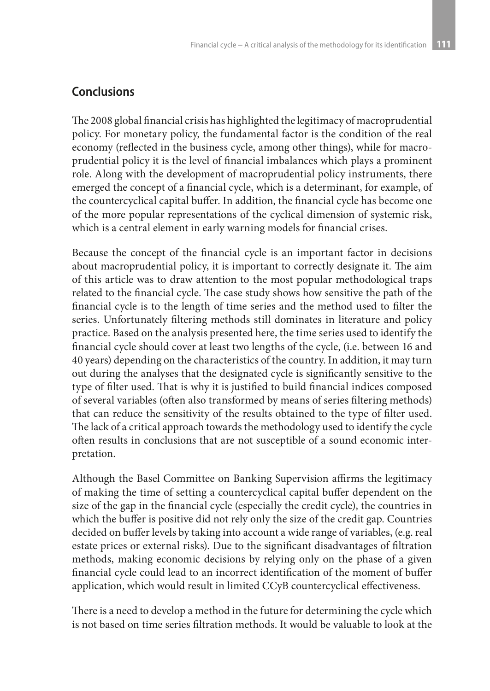### **Conclusions**

The 2008 global financial crisis has highlighted the legitimacy of macroprudential policy. For monetary policy, the fundamental factor is the condition of the real economy (reflected in the business cycle, among other things), while for macroprudential policy it is the level of financial imbalances which plays a prominent role. Along with the development of macroprudential policy instruments, there emerged the concept of a financial cycle, which is a determinant, for example, of the countercyclical capital buffer. In addition, the financial cycle has become one of the more popular representations of the cyclical dimension of systemic risk, which is a central element in early warning models for financial crises.

Because the concept of the financial cycle is an important factor in decisions about macroprudential policy, it is important to correctly designate it. The aim of this article was to draw attention to the most popular methodological traps related to the financial cycle. The case study shows how sensitive the path of the financial cycle is to the length of time series and the method used to filter the series. Unfortunately filtering methods still dominates in literature and policy practice. Based on the analysis presented here, the time series used to identify the financial cycle should cover at least two lengths of the cycle, (i.e. between 16 and 40 years) depending on the characteristics of the country. In addition, it may turn out during the analyses that the designated cycle is significantly sensitive to the type of filter used. That is why it is justified to build financial indices composed of several variables (often also transformed by means of series filtering methods) that can reduce the sensitivity of the results obtained to the type of filter used. The lack of a critical approach towards the methodology used to identify the cycle often results in conclusions that are not susceptible of a sound economic interpretation.

Although the Basel Committee on Banking Supervision affirms the legitimacy of making the time of setting a countercyclical capital buffer dependent on the size of the gap in the financial cycle (especially the credit cycle), the countries in which the buffer is positive did not rely only the size of the credit gap. Countries decided on buffer levels by taking into account a wide range of variables, (e.g. real estate prices or external risks). Due to the significant disadvantages of filtration methods, making economic decisions by relying only on the phase of a given financial cycle could lead to an incorrect identification of the moment of buffer application, which would result in limited CCyB countercyclical effectiveness.

There is a need to develop a method in the future for determining the cycle which is not based on time series filtration methods. It would be valuable to look at the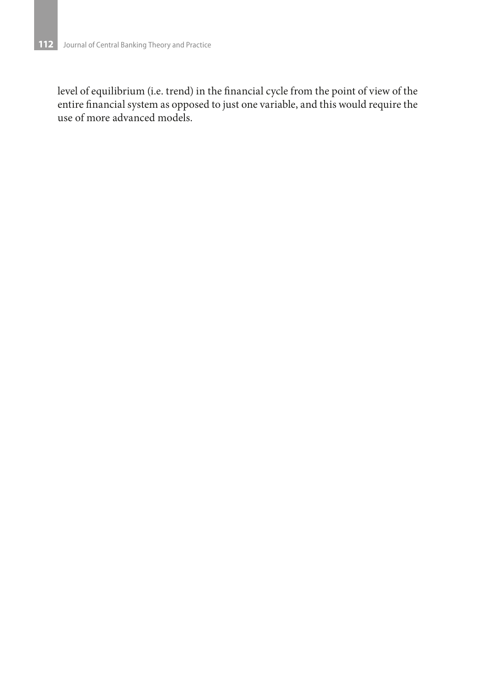level of equilibrium (i.e. trend) in the financial cycle from the point of view of the entire financial system as opposed to just one variable, and this would require the use of more advanced models.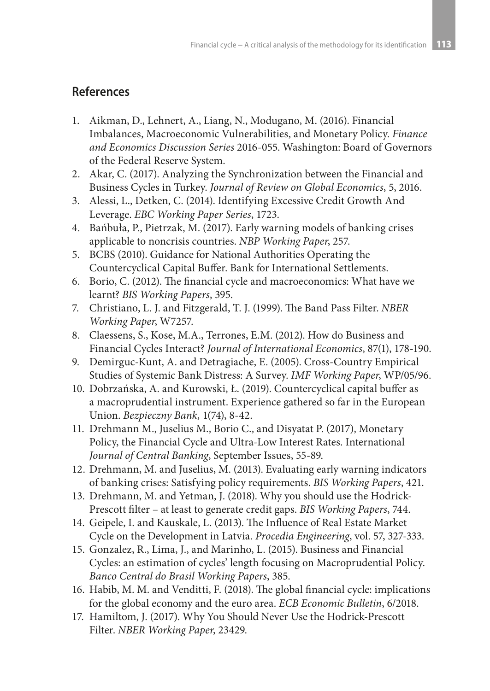### **References**

- 1. Aikman, D., Lehnert, A., Liang, N., Modugano, M. (2016). Financial Imbalances, Macroeconomic Vulnerabilities, and Monetary Policy. *Finance and Economics Discussion Series* 2016-055. Washington: Board of Governors of the Federal Reserve System.
- 2. Akar, C. (2017). Analyzing the Synchronization between the Financial and Business Cycles in Turkey. *Journal of Review on Global Economics*, 5, 2016.
- 3. Alessi, L., Detken, C. (2014). Identifying Excessive Credit Growth And Leverage. *EBC Working Paper Series*, 1723.
- 4. Bańbuła, P., Pietrzak, M. (2017). Early warning models of banking crises applicable to noncrisis countries. *NBP Working Paper*, 257.
- 5. BCBS (2010). Guidance for National Authorities Operating the Countercyclical Capital Buffer. Bank for International Settlements.
- 6. Borio, C. (2012). The financial cycle and macroeconomics: What have we learnt? *BIS Working Papers*, 395.
- 7. Christiano, L. J. and Fitzgerald, T. J. (1999). The Band Pass Filter. *NBER Working Paper*, W7257.
- 8. Claessens, S., Kose, M.A., Terrones, E.M. (2012). How do Business and Financial Cycles Interact? *Journal of International Economics*, 87(1), 178-190.
- 9. Demirguc-Kunt, A. and Detragiache, E. (2005). Cross-Country Empirical Studies of Systemic Bank Distress: A Survey. *IMF Working Paper*, WP/05/96.
- 10. Dobrzańska, A. and Kurowski, Ł. (2019). Countercyclical capital buffer as a macroprudential instrument. Experience gathered so far in the European Union. *Bezpieczny Bank,* 1(74), 8-42.
- 11. Drehmann M., Juselius M., Borio C., and Disyatat P. (2017), Monetary Policy, the Financial Cycle and Ultra-Low Interest Rates. International *Journal of Central Banking*, September Issues, 55-89.
- 12. Drehmann, M. and Juselius, M. (2013). Evaluating early warning indicators of banking crises: Satisfying policy requirements. *BIS Working Papers*, 421.
- 13. Drehmann, M. and Yetman, J. (2018). Why you should use the Hodrick-Prescott filter – at least to generate credit gaps. *BIS Working Papers*, 744.
- 14. Geipele, I. and Kauskale, L. (2013). The Influence of Real Estate Market Cycle on the Development in Latvia. *Procedia Engineering*, vol. 57, 327-333.
- 15. Gonzalez, R., Lima, J., and Marinho, L. (2015). Business and Financial Cycles: an estimation of cycles' length focusing on Macroprudential Policy. *Banco Central do Brasil Working Papers*, 385.
- 16. Habib, M. M. and Venditti, F. (2018). The global financial cycle: implications for the global economy and the euro area. *ECB Economic Bulletin*, 6/2018.
- 17. Hamiltom, J. (2017). Why You Should Never Use the Hodrick-Prescott Filter. *NBER Working Paper*, 23429.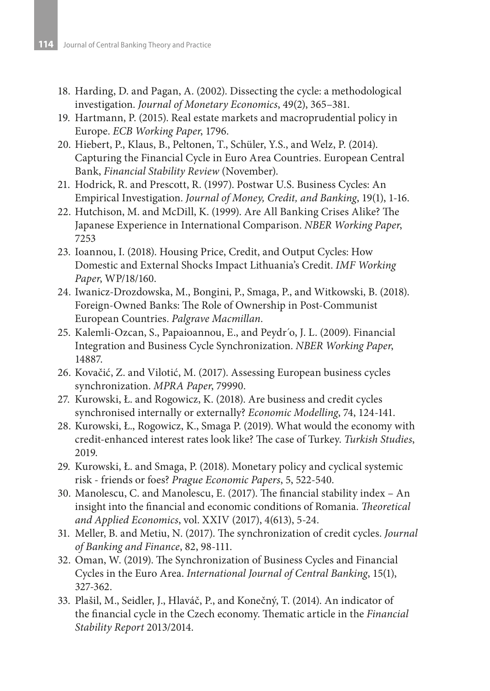- 18. Harding, D. and Pagan, A. (2002). Dissecting the cycle: a methodological investigation. *Journal of Monetary Economics*, 49(2), 365–381.
- 19. Hartmann, P. (2015). Real estate markets and macroprudential policy in Europe. *ECB Working Paper*, 1796.
- 20. Hiebert, P., Klaus, B., Peltonen, T., Schüler, Y.S., and Welz, P. (2014). Capturing the Financial Cycle in Euro Area Countries. European Central Bank, *Financial Stability Review* (November).
- 21. Hodrick, R. and Prescott, R. (1997). Postwar U.S. Business Cycles: An Empirical Investigation. *Journal of Money, Credit, and Banking*, 19(1), 1-16.
- 22. Hutchison, M. and McDill, K. (1999). Are All Banking Crises Alike? The Japanese Experience in International Comparison. *NBER Working Paper*, 7253
- 23. Ioannou, I. (2018). Housing Price, Credit, and Output Cycles: How Domestic and External Shocks Impact Lithuania's Credit. *IMF Working Paper*, WP/18/160.
- 24. Iwanicz-Drozdowska, M., Bongini, P., Smaga, P., and Witkowski, B. (2018). Foreign-Owned Banks: The Role of Ownership in Post-Communist European Countries. *Palgrave Macmillan*.
- 25. Kalemli-Ozcan, S., Papaioannou, E., and Peydr´o, J. L. (2009). Financial Integration and Business Cycle Synchronization. *NBER Working Paper*, 14887.
- 26. Kovačić, Z. and Vilotić, M. (2017). Assessing European business cycles synchronization. *MPRA Paper*, 79990.
- 27. Kurowski, Ł. and Rogowicz, K. (2018). Are business and credit cycles synchronised internally or externally? *Economic Modelling*, 74, 124-141.
- 28. Kurowski, Ł., Rogowicz, K., Smaga P. (2019). What would the economy with credit-enhanced interest rates look like? The case of Turkey. *Turkish Studies*, 2019.
- 29. Kurowski, Ł. and Smaga, P. (2018). Monetary policy and cyclical systemic risk - friends or foes? *Prague Economic Papers*, 5, 522-540.
- 30. Manolescu, C. and Manolescu, E. (2017). The financial stability index An insight into the financial and economic conditions of Romania. *Theoretical and Applied Economics*, vol. XXIV (2017), 4(613), 5-24.
- 31. Meller, B. and Metiu, N. (2017). The synchronization of credit cycles. *Journal of Banking and Finance*, 82, 98-111.
- 32. Oman, W. (2019). The Synchronization of Business Cycles and Financial Cycles in the Euro Area. *International Journal of Central Banking*, 15(1), 327-362.
- 33. Plašil, M., Seidler, J., Hlaváč, P., and Konečný, T. (2014). An indicator of the financial cycle in the Czech economy. Thematic article in the *Financial Stability Report* 2013/2014.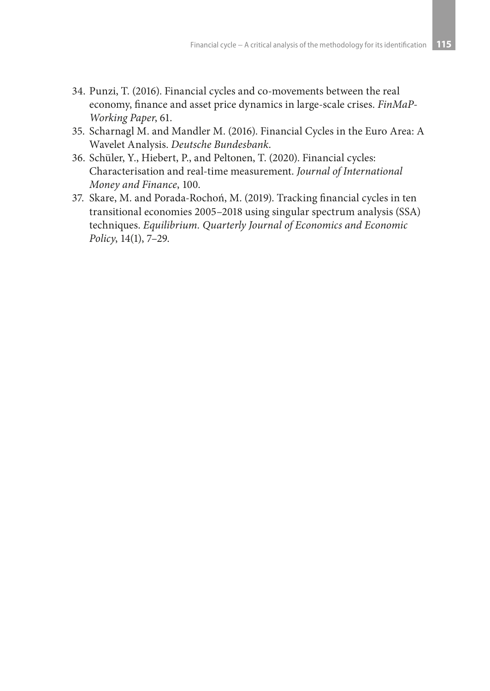- 34. Punzi, T. (2016). Financial cycles and co-movements between the real economy, finance and asset price dynamics in large-scale crises. *FinMaP-Working Paper*, 61.
- 35. Scharnagl M. and Mandler M. (2016). Financial Cycles in the Euro Area: A Wavelet Analysis. *Deutsche Bundesbank*.
- 36. Schüler, Y., Hiebert, P., and Peltonen, T. (2020). Financial cycles: Characterisation and real-time measurement. *Journal of International Money and Finance*, 100.
- 37. Skare, M. and Porada-Rochoń, M. (2019). Tracking financial cycles in ten transitional economies 2005–2018 using singular spectrum analysis (SSA) techniques. *Equilibrium. Quarterly Journal of Economics and Economic Policy*, 14(1), 7–29.